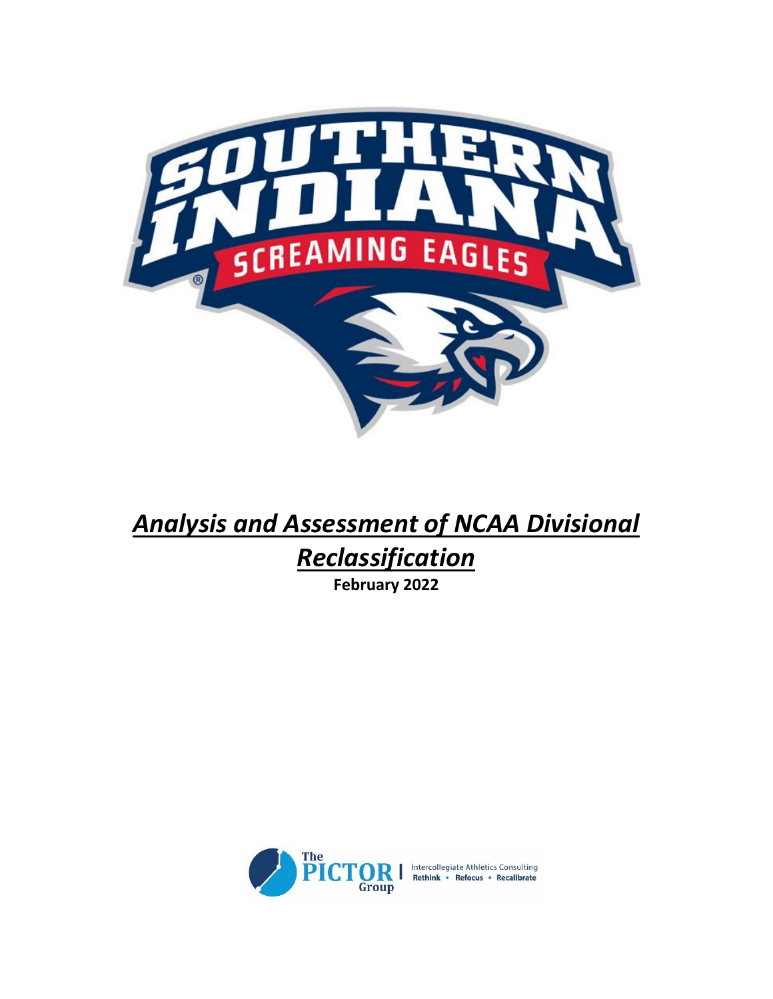

# *Analysis and Assessment of NCAA Divisional Reclassification* **February 2022**

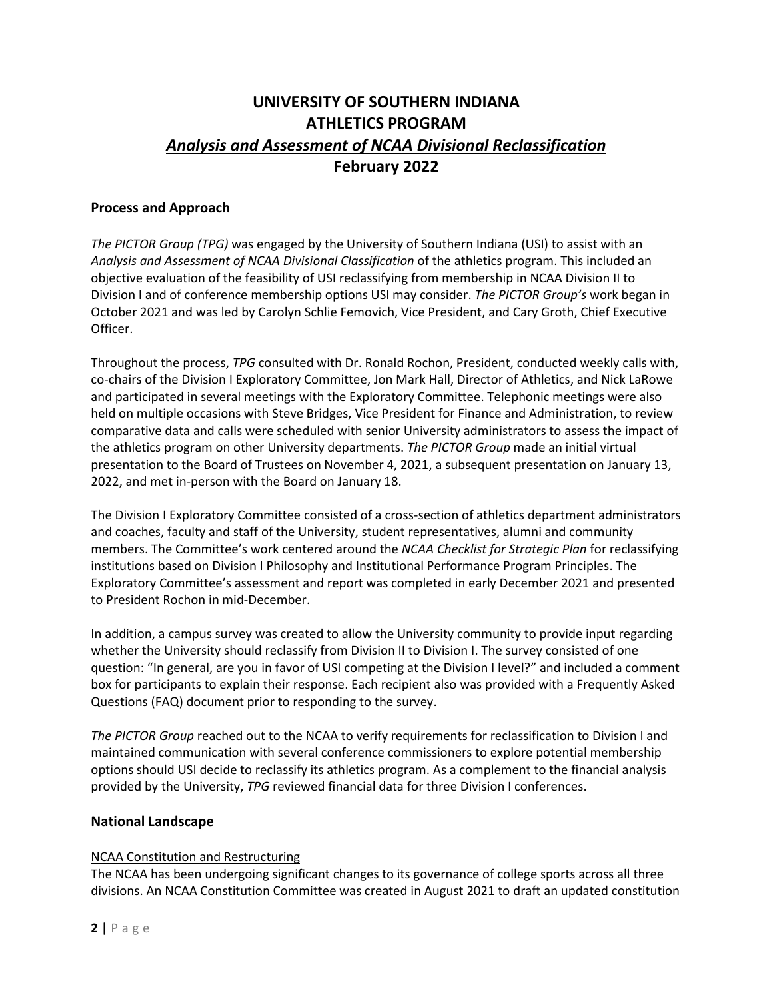# **UNIVERSITY OF SOUTHERN INDIANA ATHLETICS PROGRAM** *Analysis and Assessment of NCAA Divisional Reclassification* **February 2022**

#### **Process and Approach**

*The PICTOR Group (TPG)* was engaged by the University of Southern Indiana (USI) to assist with an *Analysis and Assessment of NCAA Divisional Classification* of the athletics program. This included an objective evaluation of the feasibility of USI reclassifying from membership in NCAA Division II to Division I and of conference membership options USI may consider. *The PICTOR Group's* work began in October 2021 and was led by Carolyn Schlie Femovich, Vice President, and Cary Groth, Chief Executive Officer.

Throughout the process, *TPG* consulted with Dr. Ronald Rochon, President, conducted weekly calls with, co-chairs of the Division I Exploratory Committee, Jon Mark Hall, Director of Athletics, and Nick LaRowe and participated in several meetings with the Exploratory Committee. Telephonic meetings were also held on multiple occasions with Steve Bridges, Vice President for Finance and Administration, to review comparative data and calls were scheduled with senior University administrators to assess the impact of the athletics program on other University departments. *The PICTOR Group* made an initial virtual presentation to the Board of Trustees on November 4, 2021, a subsequent presentation on January 13, 2022, and met in-person with the Board on January 18.

The Division I Exploratory Committee consisted of a cross-section of athletics department administrators and coaches, faculty and staff of the University, student representatives, alumni and community members. The Committee's work centered around the *NCAA Checklist for Strategic Plan* for reclassifying institutions based on Division I Philosophy and Institutional Performance Program Principles. The Exploratory Committee's assessment and report was completed in early December 2021 and presented to President Rochon in mid-December.

In addition, a campus survey was created to allow the University community to provide input regarding whether the University should reclassify from Division II to Division I. The survey consisted of one question: "In general, are you in favor of USI competing at the Division I level?" and included a comment box for participants to explain their response. Each recipient also was provided with a Frequently Asked Questions (FAQ) document prior to responding to the survey.

*The PICTOR Group* reached out to the NCAA to verify requirements for reclassification to Division I and maintained communication with several conference commissioners to explore potential membership options should USI decide to reclassify its athletics program. As a complement to the financial analysis provided by the University, *TPG* reviewed financial data for three Division I conferences.

#### **National Landscape**

#### NCAA Constitution and Restructuring

The NCAA has been undergoing significant changes to its governance of college sports across all three divisions. An NCAA Constitution Committee was created in August 2021 to draft an updated constitution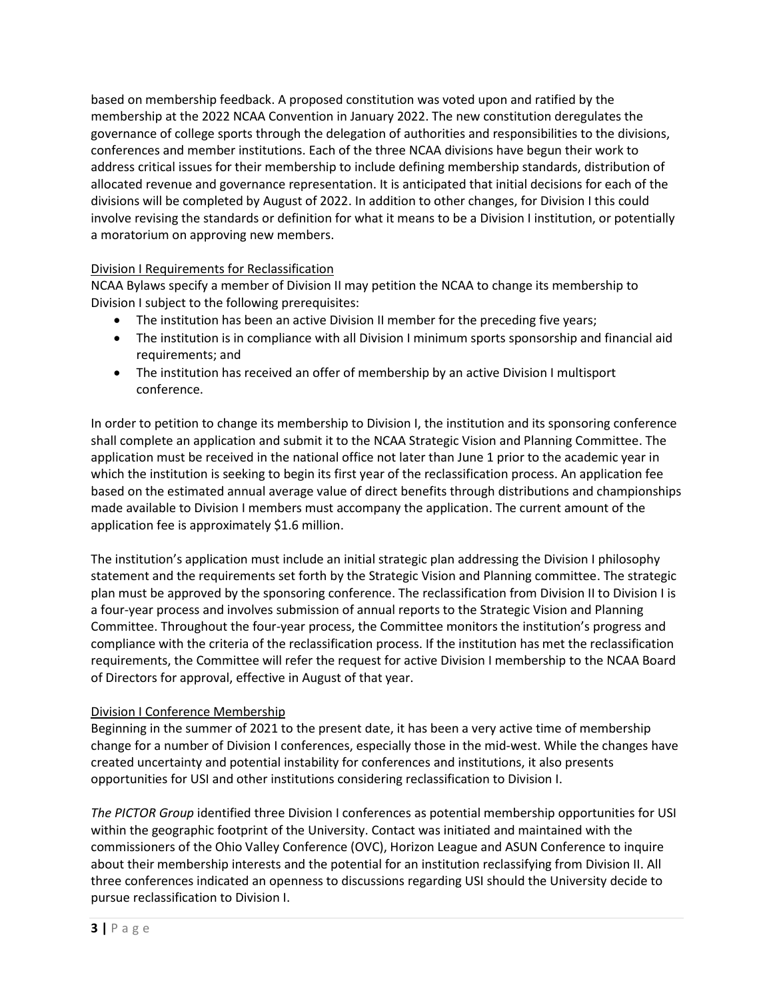based on membership feedback. A proposed constitution was voted upon and ratified by the membership at the 2022 NCAA Convention in January 2022. The new constitution deregulates the governance of college sports through the delegation of authorities and responsibilities to the divisions, conferences and member institutions. Each of the three NCAA divisions have begun their work to address critical issues for their membership to include defining membership standards, distribution of allocated revenue and governance representation. It is anticipated that initial decisions for each of the divisions will be completed by August of 2022. In addition to other changes, for Division I this could involve revising the standards or definition for what it means to be a Division I institution, or potentially a moratorium on approving new members.

#### Division I Requirements for Reclassification

NCAA Bylaws specify a member of Division II may petition the NCAA to change its membership to Division I subject to the following prerequisites:

- The institution has been an active Division II member for the preceding five years;
- The institution is in compliance with all Division I minimum sports sponsorship and financial aid requirements; and
- The institution has received an offer of membership by an active Division I multisport conference.

In order to petition to change its membership to Division I, the institution and its sponsoring conference shall complete an application and submit it to the NCAA Strategic Vision and Planning Committee. The application must be received in the national office not later than June 1 prior to the academic year in which the institution is seeking to begin its first year of the reclassification process. An application fee based on the estimated annual average value of direct benefits through distributions and championships made available to Division I members must accompany the application. The current amount of the application fee is approximately \$1.6 million.

The institution's application must include an initial strategic plan addressing the Division I philosophy statement and the requirements set forth by the Strategic Vision and Planning committee. The strategic plan must be approved by the sponsoring conference. The reclassification from Division II to Division I is a four-year process and involves submission of annual reports to the Strategic Vision and Planning Committee. Throughout the four-year process, the Committee monitors the institution's progress and compliance with the criteria of the reclassification process. If the institution has met the reclassification requirements, the Committee will refer the request for active Division I membership to the NCAA Board of Directors for approval, effective in August of that year.

#### Division I Conference Membership

Beginning in the summer of 2021 to the present date, it has been a very active time of membership change for a number of Division I conferences, especially those in the mid-west. While the changes have created uncertainty and potential instability for conferences and institutions, it also presents opportunities for USI and other institutions considering reclassification to Division I.

*The PICTOR Group* identified three Division I conferences as potential membership opportunities for USI within the geographic footprint of the University. Contact was initiated and maintained with the commissioners of the Ohio Valley Conference (OVC), Horizon League and ASUN Conference to inquire about their membership interests and the potential for an institution reclassifying from Division II. All three conferences indicated an openness to discussions regarding USI should the University decide to pursue reclassification to Division I.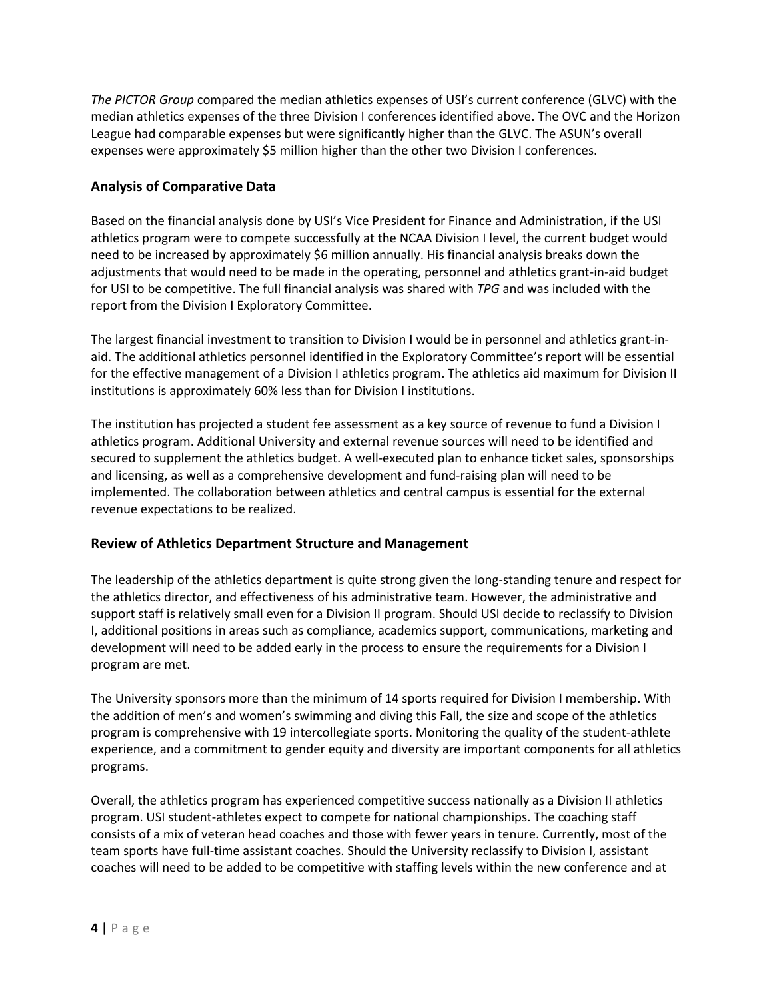*The PICTOR Group* compared the median athletics expenses of USI's current conference (GLVC) with the median athletics expenses of the three Division I conferences identified above. The OVC and the Horizon League had comparable expenses but were significantly higher than the GLVC. The ASUN's overall expenses were approximately \$5 million higher than the other two Division I conferences.

## **Analysis of Comparative Data**

Based on the financial analysis done by USI's Vice President for Finance and Administration, if the USI athletics program were to compete successfully at the NCAA Division I level, the current budget would need to be increased by approximately \$6 million annually. His financial analysis breaks down the adjustments that would need to be made in the operating, personnel and athletics grant-in-aid budget for USI to be competitive. The full financial analysis was shared with *TPG* and was included with the report from the Division I Exploratory Committee.

The largest financial investment to transition to Division I would be in personnel and athletics grant-inaid. The additional athletics personnel identified in the Exploratory Committee's report will be essential for the effective management of a Division I athletics program. The athletics aid maximum for Division II institutions is approximately 60% less than for Division I institutions.

The institution has projected a student fee assessment as a key source of revenue to fund a Division I athletics program. Additional University and external revenue sources will need to be identified and secured to supplement the athletics budget. A well-executed plan to enhance ticket sales, sponsorships and licensing, as well as a comprehensive development and fund-raising plan will need to be implemented. The collaboration between athletics and central campus is essential for the external revenue expectations to be realized.

### **Review of Athletics Department Structure and Management**

The leadership of the athletics department is quite strong given the long-standing tenure and respect for the athletics director, and effectiveness of his administrative team. However, the administrative and support staff is relatively small even for a Division II program. Should USI decide to reclassify to Division I, additional positions in areas such as compliance, academics support, communications, marketing and development will need to be added early in the process to ensure the requirements for a Division I program are met.

The University sponsors more than the minimum of 14 sports required for Division I membership. With the addition of men's and women's swimming and diving this Fall, the size and scope of the athletics program is comprehensive with 19 intercollegiate sports. Monitoring the quality of the student-athlete experience, and a commitment to gender equity and diversity are important components for all athletics programs.

Overall, the athletics program has experienced competitive success nationally as a Division II athletics program. USI student-athletes expect to compete for national championships. The coaching staff consists of a mix of veteran head coaches and those with fewer years in tenure. Currently, most of the team sports have full-time assistant coaches. Should the University reclassify to Division I, assistant coaches will need to be added to be competitive with staffing levels within the new conference and at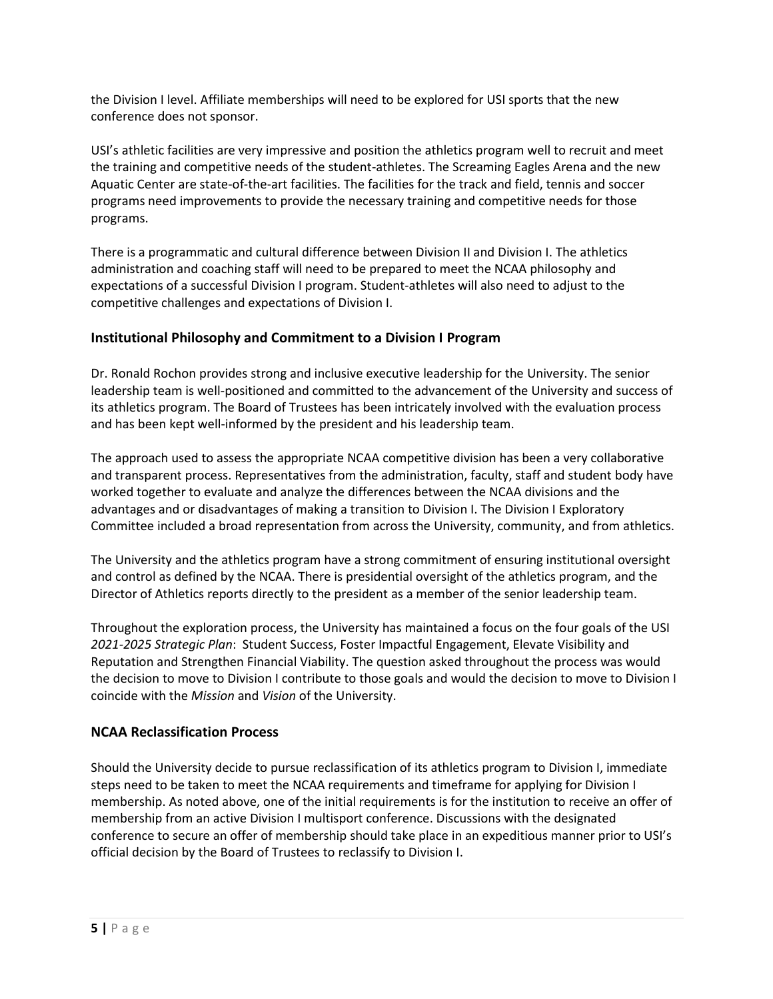the Division I level. Affiliate memberships will need to be explored for USI sports that the new conference does not sponsor.

USI's athletic facilities are very impressive and position the athletics program well to recruit and meet the training and competitive needs of the student-athletes. The Screaming Eagles Arena and the new Aquatic Center are state-of-the-art facilities. The facilities for the track and field, tennis and soccer programs need improvements to provide the necessary training and competitive needs for those programs.

There is a programmatic and cultural difference between Division II and Division I. The athletics administration and coaching staff will need to be prepared to meet the NCAA philosophy and expectations of a successful Division I program. Student-athletes will also need to adjust to the competitive challenges and expectations of Division I.

#### **Institutional Philosophy and Commitment to a Division I Program**

Dr. Ronald Rochon provides strong and inclusive executive leadership for the University. The senior leadership team is well-positioned and committed to the advancement of the University and success of its athletics program. The Board of Trustees has been intricately involved with the evaluation process and has been kept well-informed by the president and his leadership team.

The approach used to assess the appropriate NCAA competitive division has been a very collaborative and transparent process. Representatives from the administration, faculty, staff and student body have worked together to evaluate and analyze the differences between the NCAA divisions and the advantages and or disadvantages of making a transition to Division I. The Division I Exploratory Committee included a broad representation from across the University, community, and from athletics.

The University and the athletics program have a strong commitment of ensuring institutional oversight and control as defined by the NCAA. There is presidential oversight of the athletics program, and the Director of Athletics reports directly to the president as a member of the senior leadership team.

Throughout the exploration process, the University has maintained a focus on the four goals of the USI *2021-2025 Strategic Plan*: Student Success, Foster Impactful Engagement, Elevate Visibility and Reputation and Strengthen Financial Viability. The question asked throughout the process was would the decision to move to Division I contribute to those goals and would the decision to move to Division I coincide with the *Mission* and *Vision* of the University.

#### **NCAA Reclassification Process**

Should the University decide to pursue reclassification of its athletics program to Division I, immediate steps need to be taken to meet the NCAA requirements and timeframe for applying for Division I membership. As noted above, one of the initial requirements is for the institution to receive an offer of membership from an active Division I multisport conference. Discussions with the designated conference to secure an offer of membership should take place in an expeditious manner prior to USI's official decision by the Board of Trustees to reclassify to Division I.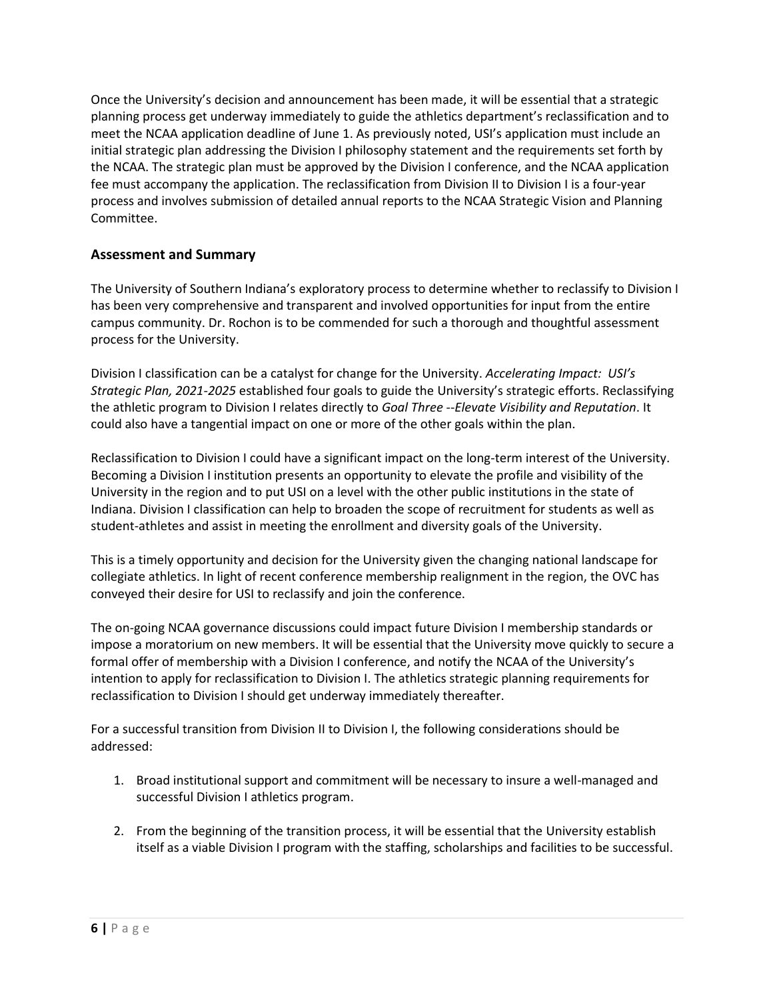Once the University's decision and announcement has been made, it will be essential that a strategic planning process get underway immediately to guide the athletics department's reclassification and to meet the NCAA application deadline of June 1. As previously noted, USI's application must include an initial strategic plan addressing the Division I philosophy statement and the requirements set forth by the NCAA. The strategic plan must be approved by the Division I conference, and the NCAA application fee must accompany the application. The reclassification from Division II to Division I is a four-year process and involves submission of detailed annual reports to the NCAA Strategic Vision and Planning Committee.

#### **Assessment and Summary**

The University of Southern Indiana's exploratory process to determine whether to reclassify to Division I has been very comprehensive and transparent and involved opportunities for input from the entire campus community. Dr. Rochon is to be commended for such a thorough and thoughtful assessment process for the University.

Division I classification can be a catalyst for change for the University. *Accelerating Impact: USI's Strategic Plan, 2021-2025* established four goals to guide the University's strategic efforts. Reclassifying the athletic program to Division I relates directly to *Goal Three* --*Elevate Visibility and Reputation*. It could also have a tangential impact on one or more of the other goals within the plan.

Reclassification to Division I could have a significant impact on the long-term interest of the University. Becoming a Division I institution presents an opportunity to elevate the profile and visibility of the University in the region and to put USI on a level with the other public institutions in the state of Indiana. Division I classification can help to broaden the scope of recruitment for students as well as student-athletes and assist in meeting the enrollment and diversity goals of the University.

This is a timely opportunity and decision for the University given the changing national landscape for collegiate athletics. In light of recent conference membership realignment in the region, the OVC has conveyed their desire for USI to reclassify and join the conference.

The on-going NCAA governance discussions could impact future Division I membership standards or impose a moratorium on new members. It will be essential that the University move quickly to secure a formal offer of membership with a Division I conference, and notify the NCAA of the University's intention to apply for reclassification to Division I. The athletics strategic planning requirements for reclassification to Division I should get underway immediately thereafter.

For a successful transition from Division II to Division I, the following considerations should be addressed:

- 1. Broad institutional support and commitment will be necessary to insure a well-managed and successful Division I athletics program.
- 2. From the beginning of the transition process, it will be essential that the University establish itself as a viable Division I program with the staffing, scholarships and facilities to be successful.